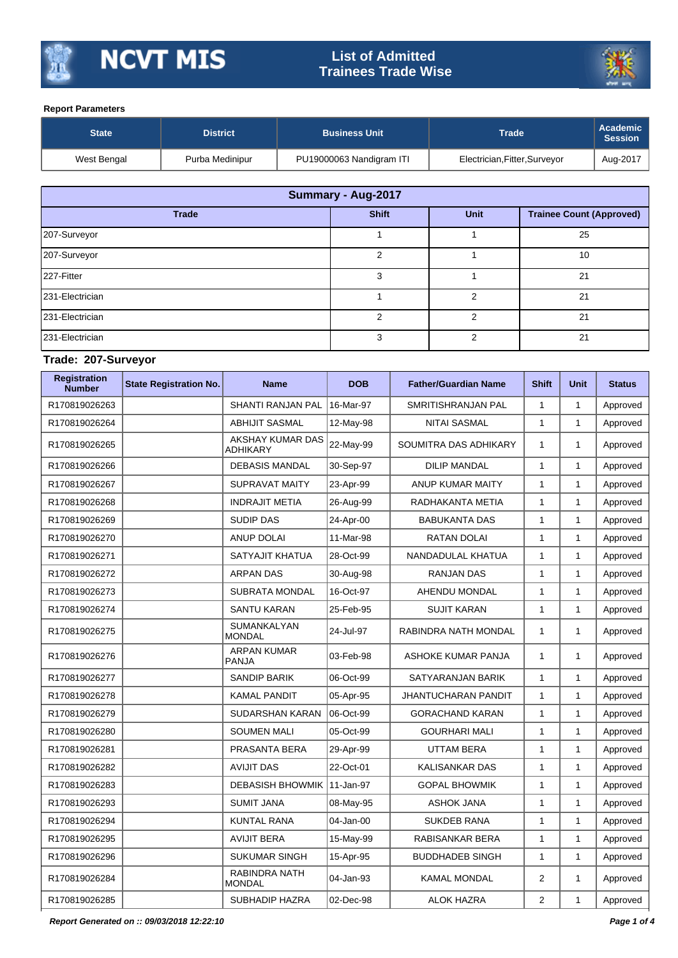

# **List of Admitted Trainees Trade Wise**



#### **Report Parameters**

| <b>State</b> | <b>District</b> | <b>Business Unit</b>     | Trade                         | Academic<br>Session |
|--------------|-----------------|--------------------------|-------------------------------|---------------------|
| West Bengal  | Purba Medinipur | PU19000063 Nandigram ITI | Electrician, Fitter, Surveyor | Aug-2017            |

| Summary - Aug-2017 |               |             |                                 |  |  |  |  |  |
|--------------------|---------------|-------------|---------------------------------|--|--|--|--|--|
| <b>Trade</b>       | <b>Shift</b>  | <b>Unit</b> | <b>Trainee Count (Approved)</b> |  |  |  |  |  |
| 207-Surveyor       |               |             | 25                              |  |  |  |  |  |
| 207-Surveyor       | $\mathcal{P}$ |             | 10                              |  |  |  |  |  |
| 227-Fitter         | 3             |             | 21                              |  |  |  |  |  |
| 231-Electrician    |               | ົ           | 21                              |  |  |  |  |  |
| 231-Electrician    | າ             |             | 21                              |  |  |  |  |  |
| 231-Electrician    | 3             |             | 21                              |  |  |  |  |  |

## **Trade: 207-Surveyor**

| <b>Registration</b><br><b>Number</b> | <b>State Registration No.</b> | <b>Name</b>                         | <b>DOB</b> | <b>Father/Guardian Name</b> | <b>Shift</b>   | <b>Unit</b>  | <b>Status</b> |
|--------------------------------------|-------------------------------|-------------------------------------|------------|-----------------------------|----------------|--------------|---------------|
| R170819026263                        |                               | <b>SHANTI RANJAN PAL</b>            | 16-Mar-97  | SMRITISHRANJAN PAL          | $\mathbf{1}$   | $\mathbf{1}$ | Approved      |
| R170819026264                        |                               | <b>ABHIJIT SASMAL</b>               | 12-May-98  | <b>NITAI SASMAL</b>         | $\mathbf{1}$   | $\mathbf{1}$ | Approved      |
| R170819026265                        |                               | AKSHAY KUMAR DAS<br>ADHIKARY        | 22-May-99  | SOUMITRA DAS ADHIKARY       | $\mathbf{1}$   | $\mathbf{1}$ | Approved      |
| R170819026266                        |                               | <b>DEBASIS MANDAL</b>               | 30-Sep-97  | <b>DILIP MANDAL</b>         | $\mathbf{1}$   | $\mathbf{1}$ | Approved      |
| R170819026267                        |                               | <b>SUPRAVAT MAITY</b>               | 23-Apr-99  | ANUP KUMAR MAITY            | $\mathbf{1}$   | $\mathbf{1}$ | Approved      |
| R170819026268                        |                               | <b>INDRAJIT METIA</b>               | 26-Aug-99  | RADHAKANTA METIA            | $\mathbf{1}$   | $\mathbf{1}$ | Approved      |
| R170819026269                        |                               | <b>SUDIP DAS</b>                    | 24-Apr-00  | <b>BABUKANTA DAS</b>        | $\mathbf{1}$   | $\mathbf{1}$ | Approved      |
| R170819026270                        |                               | <b>ANUP DOLAI</b>                   | 11-Mar-98  | <b>RATAN DOLAI</b>          | $\mathbf{1}$   | $\mathbf{1}$ | Approved      |
| R170819026271                        |                               | SATYAJIT KHATUA                     | 28-Oct-99  | NANDADULAL KHATUA           | $\mathbf{1}$   | $\mathbf{1}$ | Approved      |
| R170819026272                        |                               | <b>ARPAN DAS</b>                    | 30-Aug-98  | <b>RANJAN DAS</b>           | $\mathbf{1}$   | $\mathbf{1}$ | Approved      |
| R170819026273                        |                               | <b>SUBRATA MONDAL</b>               | 16-Oct-97  | AHENDU MONDAL               | $\mathbf{1}$   | $\mathbf{1}$ | Approved      |
| R170819026274                        |                               | <b>SANTU KARAN</b>                  | 25-Feb-95  | <b>SUJIT KARAN</b>          | $\mathbf{1}$   | $\mathbf{1}$ | Approved      |
| R170819026275                        |                               | <b>SUMANKALYAN</b><br><b>MONDAL</b> | 24-Jul-97  | RABINDRA NATH MONDAL        | $\mathbf{1}$   | $\mathbf{1}$ | Approved      |
| R170819026276                        |                               | <b>ARPAN KUMAR</b><br><b>PANJA</b>  | 03-Feb-98  | ASHOKE KUMAR PANJA          | $\mathbf{1}$   | $\mathbf{1}$ | Approved      |
| R170819026277                        |                               | <b>SANDIP BARIK</b>                 | 06-Oct-99  | SATYARANJAN BARIK           | $\mathbf{1}$   | $\mathbf{1}$ | Approved      |
| R170819026278                        |                               | <b>KAMAL PANDIT</b>                 | 05-Apr-95  | JHANTUCHARAN PANDIT         | $\mathbf{1}$   | $\mathbf{1}$ | Approved      |
| R170819026279                        |                               | SUDARSHAN KARAN                     | 06-Oct-99  | <b>GORACHAND KARAN</b>      | $\mathbf{1}$   | $\mathbf{1}$ | Approved      |
| R170819026280                        |                               | <b>SOUMEN MALI</b>                  | 05-Oct-99  | <b>GOURHARI MALI</b>        | $\mathbf{1}$   | $\mathbf{1}$ | Approved      |
| R170819026281                        |                               | PRASANTA BERA                       | 29-Apr-99  | UTTAM BERA                  | $\mathbf{1}$   | $\mathbf{1}$ | Approved      |
| R170819026282                        |                               | <b>AVIJIT DAS</b>                   | 22-Oct-01  | <b>KALISANKAR DAS</b>       | $\mathbf{1}$   | $\mathbf{1}$ | Approved      |
| R170819026283                        |                               | <b>DEBASISH BHOWMIK</b>             | 11-Jan-97  | <b>GOPAL BHOWMIK</b>        | $\mathbf{1}$   | $\mathbf{1}$ | Approved      |
| R170819026293                        |                               | <b>SUMIT JANA</b>                   | 08-May-95  | <b>ASHOK JANA</b>           | $\mathbf{1}$   | $\mathbf{1}$ | Approved      |
| R170819026294                        |                               | <b>KUNTAL RANA</b>                  | 04-Jan-00  | <b>SUKDEB RANA</b>          | $\mathbf{1}$   | $\mathbf{1}$ | Approved      |
| R170819026295                        |                               | <b>AVIJIT BERA</b>                  | 15-May-99  | RABISANKAR BERA             | $\mathbf{1}$   | $\mathbf{1}$ | Approved      |
| R170819026296                        |                               | <b>SUKUMAR SINGH</b>                | 15-Apr-95  | <b>BUDDHADEB SINGH</b>      | $\mathbf{1}$   | $\mathbf{1}$ | Approved      |
| R170819026284                        |                               | RABINDRA NATH<br><b>MONDAL</b>      | 04-Jan-93  | <b>KAMAL MONDAL</b>         | $\overline{2}$ | 1            | Approved      |
| R170819026285                        |                               | SUBHADIP HAZRA                      | 02-Dec-98  | <b>ALOK HAZRA</b>           | $\overline{2}$ | $\mathbf{1}$ | Approved      |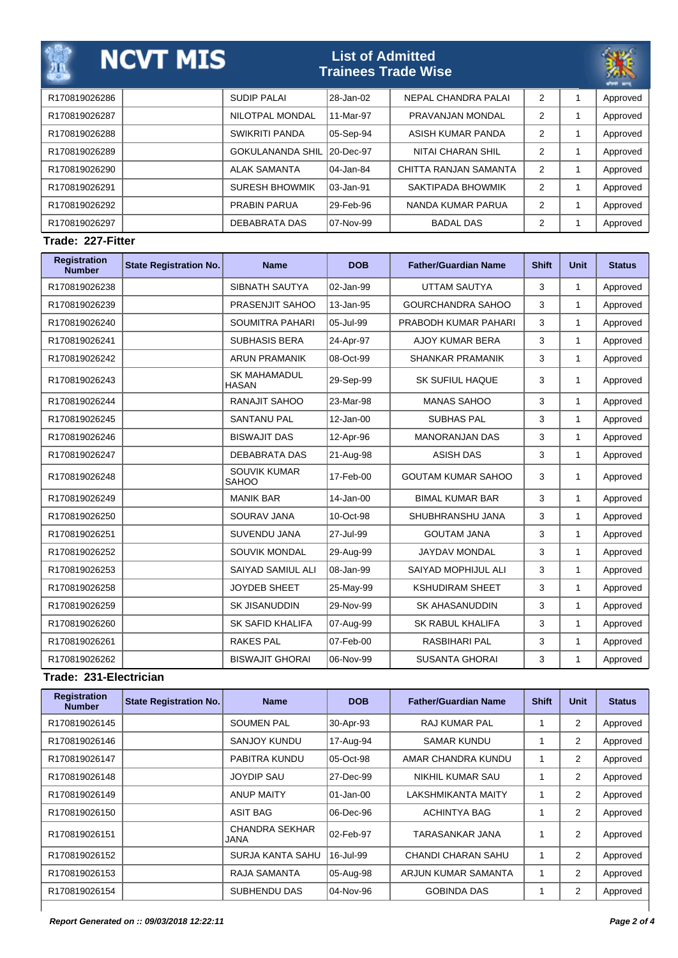| ДĄ            | <b>NCVT MIS</b> |                         | <b>List of Admitted</b> | <b>Trainees Trade Wise</b> |                | كمت بغتيه |
|---------------|-----------------|-------------------------|-------------------------|----------------------------|----------------|-----------|
| R170819026286 |                 | <b>SUDIP PALAI</b>      | 28-Jan-02               | NEPAL CHANDRA PALAI        | $\overline{2}$ | Approved  |
| R170819026287 |                 | NILOTPAL MONDAL         | 11-Mar-97               | PRAVANJAN MONDAL           | 2              | Approved  |
| R170819026288 |                 | SWIKRITI PANDA          | 05-Sep-94               | ASISH KUMAR PANDA          | 2              | Approved  |
| R170819026289 |                 | <b>GOKULANANDA SHIL</b> | 20-Dec-97               | NITAI CHARAN SHIL          | 2              | Approved  |
| R170819026290 |                 | <b>ALAK SAMANTA</b>     | 04-Jan-84               | CHITTA RANJAN SAMANTA      | 2              | Approved  |
| R170819026291 |                 | <b>SURESH BHOWMIK</b>   | 03-Jan-91               | SAKTIPADA BHOWMIK          | 2              | Approved  |
| R170819026292 |                 | <b>PRABIN PARUA</b>     | 29-Feb-96               | NANDA KUMAR PARUA          | 2              | Approved  |
| R170819026297 |                 | DEBABRATA DAS           | 107-Nov-99              | <b>BADAL DAS</b>           | 2              | Approved  |

## **Trade: 227-Fitter**

| <b>Registration</b><br><b>Number</b> | <b>State Registration No.</b> | <b>Name</b>                         | <b>DOB</b>   | <b>Father/Guardian Name</b> | <b>Shift</b> | Unit         | <b>Status</b> |
|--------------------------------------|-------------------------------|-------------------------------------|--------------|-----------------------------|--------------|--------------|---------------|
| R170819026238                        |                               | SIBNATH SAUTYA                      | 02-Jan-99    | <b>UTTAM SAUTYA</b>         | 3            | $\mathbf{1}$ | Approved      |
| R170819026239                        |                               | PRASENJIT SAHOO                     | 13-Jan-95    | GOURCHANDRA SAHOO           | 3            | $\mathbf{1}$ | Approved      |
| R170819026240                        |                               | <b>SOUMITRA PAHARI</b>              | 05-Jul-99    | PRABODH KUMAR PAHARI        | 3            | 1            | Approved      |
| R170819026241                        |                               | <b>SUBHASIS BERA</b>                | 24-Apr-97    | <b>AJOY KUMAR BERA</b>      | 3            | 1            | Approved      |
| R170819026242                        |                               | <b>ARUN PRAMANIK</b>                | 08-Oct-99    | <b>SHANKAR PRAMANIK</b>     | 3            | 1            | Approved      |
| R170819026243                        |                               | <b>SK MAHAMADUL</b><br><b>HASAN</b> | 29-Sep-99    | <b>SK SUFIUL HAQUE</b>      | 3            | 1            | Approved      |
| R170819026244                        |                               | RANAJIT SAHOO                       | 23-Mar-98    | <b>MANAS SAHOO</b>          | 3            | 1            | Approved      |
| R170819026245                        |                               | <b>SANTANU PAL</b>                  | 12-Jan-00    | <b>SUBHAS PAL</b>           | 3            | 1            | Approved      |
| R170819026246                        |                               | <b>BISWAJIT DAS</b>                 | 12-Apr-96    | <b>MANORANJAN DAS</b>       | 3            | 1            | Approved      |
| R170819026247                        |                               | <b>DEBABRATA DAS</b>                | 21-Aug-98    | <b>ASISH DAS</b>            | 3            | 1            | Approved      |
| R170819026248                        |                               | <b>SOUVIK KUMAR</b><br><b>SAHOO</b> | 17-Feb-00    | <b>GOUTAM KUMAR SAHOO</b>   | 3            | 1            | Approved      |
| R170819026249                        |                               | <b>MANIK BAR</b>                    | $14$ -Jan-00 | <b>BIMAL KUMAR BAR</b>      | 3            | $\mathbf{1}$ | Approved      |
| R170819026250                        |                               | <b>SOURAV JANA</b>                  | 10-Oct-98    | SHUBHRANSHU JANA            | 3            | 1            | Approved      |
| R170819026251                        |                               | <b>SUVENDU JANA</b>                 | 27-Jul-99    | <b>GOUTAM JANA</b>          | 3            | 1            | Approved      |
| R170819026252                        |                               | <b>SOUVIK MONDAL</b>                | 29-Aug-99    | <b>JAYDAV MONDAL</b>        | 3            | 1            | Approved      |
| R170819026253                        |                               | SAIYAD SAMIUL ALI                   | 08-Jan-99    | SAIYAD MOPHIJUL ALI         | 3            | $\mathbf{1}$ | Approved      |
| R170819026258                        |                               | <b>JOYDEB SHEET</b>                 | 25-May-99    | <b>KSHUDIRAM SHEET</b>      | 3            | 1            | Approved      |
| R170819026259                        |                               | <b>SK JISANUDDIN</b>                | 29-Nov-99    | <b>SK AHASANUDDIN</b>       | 3            | $\mathbf{1}$ | Approved      |
| R170819026260                        |                               | <b>SK SAFID KHALIFA</b>             | 07-Aug-99    | <b>SK RABUL KHALIFA</b>     | 3            | 1            | Approved      |
| R170819026261                        |                               | <b>RAKES PAL</b>                    | 07-Feb-00    | <b>RASBIHARI PAL</b>        | 3            | $\mathbf{1}$ | Approved      |
| R170819026262                        |                               | <b>BISWAJIT GHORAI</b>              | 06-Nov-99    | <b>SUSANTA GHORAI</b>       | 3            | 1            | Approved      |

## **Trade: 231-Electrician**

| <b>Registration</b><br><b>Number</b> | <b>State Registration No.</b> | <b>Name</b>                   | <b>DOB</b> | <b>Father/Guardian Name</b> | <b>Shift</b> | <b>Unit</b>    | <b>Status</b> |
|--------------------------------------|-------------------------------|-------------------------------|------------|-----------------------------|--------------|----------------|---------------|
| R170819026145                        |                               | <b>SOUMEN PAL</b>             | 30-Apr-93  | <b>RAJ KUMAR PAL</b>        |              | 2              | Approved      |
| R170819026146                        |                               | SANJOY KUNDU                  | 17-Aug-94  | <b>SAMAR KUNDU</b>          |              | 2              | Approved      |
| R170819026147                        |                               | PABITRA KUNDU                 | 05-Oct-98  | AMAR CHANDRA KUNDU          |              | 2              | Approved      |
| R170819026148                        |                               | <b>JOYDIP SAU</b>             | 27-Dec-99  | NIKHIL KUMAR SAU            |              | 2              | Approved      |
| R170819026149                        |                               | <b>ANUP MAITY</b>             | 01-Jan-00  | LAKSHMIKANTA MAITY          |              | 2              | Approved      |
| R170819026150                        |                               | <b>ASIT BAG</b>               | 06-Dec-96  | <b>ACHINTYA BAG</b>         |              | 2              | Approved      |
| R170819026151                        |                               | <b>CHANDRA SEKHAR</b><br>JANA | 02-Feb-97  | TARASANKAR JANA             |              | $\overline{2}$ | Approved      |
| R170819026152                        |                               | <b>SURJA KANTA SAHU</b>       | 16-Jul-99  | <b>CHANDI CHARAN SAHU</b>   |              | 2              | Approved      |
| R170819026153                        |                               | <b>RAJA SAMANTA</b>           | 05-Aug-98  | ARJUN KUMAR SAMANTA         |              | 2              | Approved      |
| R170819026154                        |                               | SUBHENDU DAS                  | 04-Nov-96  | <b>GOBINDA DAS</b>          |              | 2              | Approved      |
|                                      |                               |                               |            |                             |              |                |               |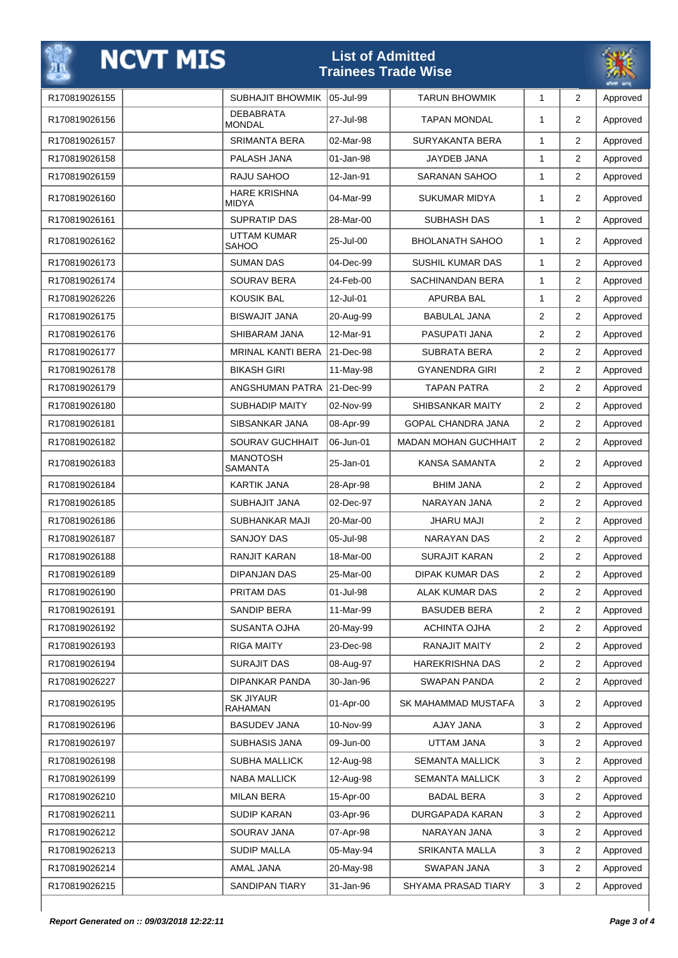|               | <b>NCVT MIS</b> |                                     | <b>List of Admitted</b> | <b>Trainees Trade Wise</b>  |                |                |          |
|---------------|-----------------|-------------------------------------|-------------------------|-----------------------------|----------------|----------------|----------|
| R170819026155 |                 | <b>SUBHAJIT BHOWMIK</b>             | 05-Jul-99               | <b>TARUN BHOWMIK</b>        | $\mathbf{1}$   | $\overline{2}$ | Approved |
| R170819026156 |                 | <b>DEBABRATA</b><br><b>MONDAL</b>   | 27-Jul-98               | <b>TAPAN MONDAL</b>         | 1              | $\overline{2}$ | Approved |
| R170819026157 |                 | <b>SRIMANTA BERA</b>                | 02-Mar-98               | SURYAKANTA BERA             | 1              | $\overline{2}$ | Approved |
| R170819026158 |                 | PALASH JANA                         | 01-Jan-98               | JAYDEB JANA                 | 1              | $\overline{2}$ | Approved |
| R170819026159 |                 | RAJU SAHOO                          | 12-Jan-91               | SARANAN SAHOO               | $\mathbf{1}$   | $\overline{2}$ | Approved |
| R170819026160 |                 | <b>HARE KRISHNA</b><br><b>MIDYA</b> | 04-Mar-99               | <b>SUKUMAR MIDYA</b>        | 1              | $\overline{2}$ | Approved |
| R170819026161 |                 | <b>SUPRATIP DAS</b>                 | 28-Mar-00               | SUBHASH DAS                 | $\mathbf{1}$   | 2              | Approved |
| R170819026162 |                 | UTTAM KUMAR<br><b>SAHOO</b>         | 25-Jul-00               | <b>BHOLANATH SAHOO</b>      | 1              | $\overline{2}$ | Approved |
| R170819026173 |                 | <b>SUMAN DAS</b>                    | 04-Dec-99               | <b>SUSHIL KUMAR DAS</b>     | 1              | 2              | Approved |
| R170819026174 |                 | <b>SOURAV BERA</b>                  | 24-Feb-00               | SACHINANDAN BERA            | $\mathbf{1}$   | $\overline{2}$ | Approved |
| R170819026226 |                 | <b>KOUSIK BAL</b>                   | 12-Jul-01               | <b>APURBA BAL</b>           | 1              | $\overline{2}$ | Approved |
| R170819026175 |                 | <b>BISWAJIT JANA</b>                | 20-Aug-99               | <b>BABULAL JANA</b>         | $\overline{2}$ | 2              | Approved |
| R170819026176 |                 | SHIBARAM JANA                       | 12-Mar-91               | PASUPATI JANA               | $\overline{2}$ | $\overline{2}$ | Approved |
| R170819026177 |                 | <b>MRINAL KANTI BERA</b>            | 21-Dec-98               | <b>SUBRATA BERA</b>         | 2              | $\overline{2}$ | Approved |
| R170819026178 |                 | <b>BIKASH GIRI</b>                  | 11-May-98               | <b>GYANENDRA GIRI</b>       | 2              | 2              | Approved |
| R170819026179 |                 | ANGSHUMAN PATRA                     | 21-Dec-99               | <b>TAPAN PATRA</b>          | $\overline{2}$ | $\overline{2}$ | Approved |
| R170819026180 |                 | SUBHADIP MAITY                      | 02-Nov-99               | SHIBSANKAR MAITY            | 2              | 2              | Approved |
| R170819026181 |                 | SIBSANKAR JANA                      | 08-Apr-99               | <b>GOPAL CHANDRA JANA</b>   | $\overline{2}$ | $\overline{2}$ | Approved |
| R170819026182 |                 | SOURAV GUCHHAIT                     | 06-Jun-01               | <b>MADAN MOHAN GUCHHAIT</b> | $\overline{2}$ | 2              | Approved |
| R170819026183 |                 | <b>MANOTOSH</b><br><b>SAMANTA</b>   | 25-Jan-01               | KANSA SAMANTA               | 2              | $\overline{2}$ | Approved |
| R170819026184 |                 | <b>KARTIK JANA</b>                  | 28-Apr-98               | <b>BHIM JANA</b>            | $\overline{2}$ | $\overline{2}$ | Approved |
| R170819026185 |                 | <b>SUBHAJIT JANA</b>                | 02-Dec-97               | NARAYAN JANA                | 2              | 2              | Approved |
| R170819026186 |                 | SUBHANKAR MAJI                      | 20-Mar-00               | JHARU MAJI                  | $\overline{2}$ | $\overline{2}$ | Approved |
| R170819026187 |                 | <b>SANJOY DAS</b>                   | 05-Jul-98               | NARAYAN DAS                 | $\overline{2}$ | 2              | Approved |
| R170819026188 |                 | RANJIT KARAN                        | 18-Mar-00               | SURAJIT KARAN               | 2              | 2              | Approved |
| R170819026189 |                 | <b>DIPANJAN DAS</b>                 | 25-Mar-00               | <b>DIPAK KUMAR DAS</b>      | $\overline{2}$ | $\overline{2}$ | Approved |
| R170819026190 |                 | PRITAM DAS                          | 01-Jul-98               | <b>ALAK KUMAR DAS</b>       | $\overline{2}$ | $\overline{2}$ | Approved |
| R170819026191 |                 | SANDIP BERA                         | 11-Mar-99               | <b>BASUDEB BERA</b>         | 2              | 2              | Approved |
| R170819026192 |                 | <b>SUSANTA OJHA</b>                 | 20-May-99               | ACHINTA OJHA                | $\overline{2}$ | $\overline{2}$ | Approved |
| R170819026193 |                 | <b>RIGA MAITY</b>                   | 23-Dec-98               | <b>RANAJIT MAITY</b>        | 2              | $\overline{2}$ | Approved |
| R170819026194 |                 | <b>SURAJIT DAS</b>                  | 08-Aug-97               | <b>HAREKRISHNA DAS</b>      | 2              | 2              | Approved |
| R170819026227 |                 | <b>DIPANKAR PANDA</b>               | 30-Jan-96               | SWAPAN PANDA                | 2              | $\overline{2}$ | Approved |
| R170819026195 |                 | <b>SK JIYAUR</b><br><b>RAHAMAN</b>  | 01-Apr-00               | SK MAHAMMAD MUSTAFA         | 3              | $\overline{2}$ | Approved |
| R170819026196 |                 | <b>BASUDEV JANA</b>                 | 10-Nov-99               | AJAY JANA                   | 3              | 2              | Approved |
| R170819026197 |                 | SUBHASIS JANA                       | 09-Jun-00               | UTTAM JANA                  | 3              | $\overline{2}$ | Approved |
| R170819026198 |                 | SUBHA MALLICK                       | 12-Aug-98               | <b>SEMANTA MALLICK</b>      | 3              | 2              | Approved |
| R170819026199 |                 | <b>NABA MALLICK</b>                 | 12-Aug-98               | <b>SEMANTA MALLICK</b>      | 3              | $\overline{2}$ | Approved |
| R170819026210 |                 | <b>MILAN BERA</b>                   | 15-Apr-00               | BADAL BERA                  | 3              | $\overline{2}$ | Approved |
| R170819026211 |                 | <b>SUDIP KARAN</b>                  | 03-Apr-96               | DURGAPADA KARAN             | 3              | 2              | Approved |
| R170819026212 |                 | SOURAV JANA                         | 07-Apr-98               | NARAYAN JANA                | 3              | $\overline{2}$ | Approved |
| R170819026213 |                 | <b>SUDIP MALLA</b>                  | 05-May-94               | SRIKANTA MALLA              | 3              | 2              | Approved |
| R170819026214 |                 | AMAL JANA                           | 20-May-98               | SWAPAN JANA                 | 3              | 2              | Approved |
| R170819026215 |                 | SANDIPAN TIARY                      | 31-Jan-96               | SHYAMA PRASAD TIARY         | 3              | $\overline{2}$ | Approved |